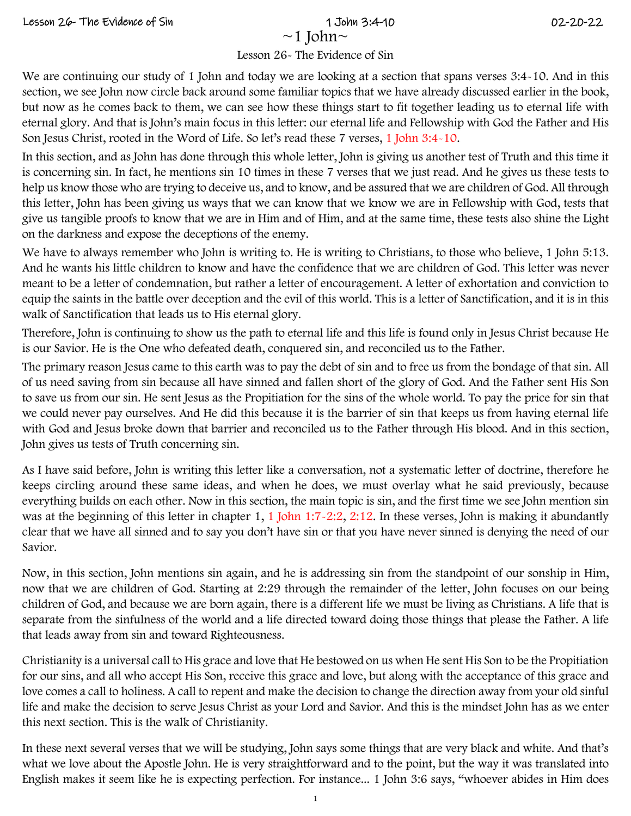We are continuing correlate of Ealism and Eq. (a) that<br>
I Issues 2<sup>4</sup> I Islaes are found in the security of the security of the security decay and the security of the security of the security of the security of the securi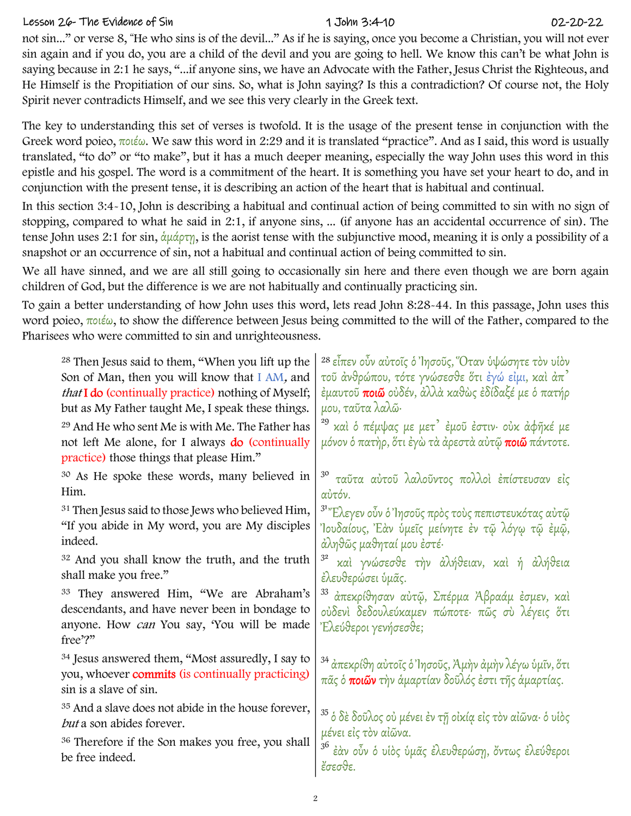## Lesson 26- The Evidence of Sin 1 John 3:4-10 02-20-22

| not sin…" or verse 8, "He who sins is of the devil…" As if he is saying, once you become a Christian, you will not ever<br>Spirit never contradicts Himself, and we see this very clearly in the Greek text.                            | sin again and if you do, you are a child of the devil and you are going to hell. We know this can't be what John is<br>saying because in 2:1 he says, "if anyone sins, we have an Advocate with the Father, Jesus Christ the Righteous, and<br>He Himself is the Propitiation of our sins. So, what is John saying? Is this a contradiction? Of course not, the Holy                                                                                                                         |
|-----------------------------------------------------------------------------------------------------------------------------------------------------------------------------------------------------------------------------------------|----------------------------------------------------------------------------------------------------------------------------------------------------------------------------------------------------------------------------------------------------------------------------------------------------------------------------------------------------------------------------------------------------------------------------------------------------------------------------------------------|
| conjunction with the present tense, it is describing an action of the heart that is habitual and continual.                                                                                                                             | The key to understanding this set of verses is twofold. It is the usage of the present tense in conjunction with the<br>Greek word poieo, ποιέω. We saw this word in 2:29 and it is translated "practice". And as I said, this word is usually<br>translated, "to do" or "to make", but it has a much deeper meaning, especially the way John uses this word in this<br>epistle and his gospel. The word is a commitment of the heart. It is something you have set your heart to do, and in |
| snapshot or an occurrence of sin, not a habitual and continual action of being committed to sin.                                                                                                                                        | In this section 3:4~10, John is describing a habitual and continual action of being committed to sin with no sign of<br>stopping, compared to what he said in 2:1, if anyone sins,  (if anyone has an accidental occurrence of sin). The<br>tense John uses 2:1 for sin, άμάρτη, is the aorist tense with the subjunctive mood, meaning it is only a possibility of a                                                                                                                        |
| children of God, but the difference is we are not habitually and continually practicing sin.                                                                                                                                            | We all have sinned, and we are all still going to occasionally sin here and there even though we are born again                                                                                                                                                                                                                                                                                                                                                                              |
| Pharisees who were committed to sin and unrighteousness.                                                                                                                                                                                | To gain a better understanding of how John uses this word, lets read John 8:28~44. In this passage, John uses this<br>word poieo, $\pi o$ ιέω, to show the difference between Jesus being committed to the will of the Father, compared to the                                                                                                                                                                                                                                               |
| <sup>28</sup> Then Jesus said to them, "When you lift up the<br>Son of Man, then you will know that I AM, and<br><i>that</i> <b>I do</b> (continually practice) nothing of Myself;<br>but as My Father taught Me, I speak these things. | <sup>28</sup> εἶπεν οὖν αὐτοῖς ὁ Ἰησοῦς, Όταν ὑψώσητε τὸν υἱὸν<br>τοῦ ἀνθρώπου, τότε γνώσεσθε ὅτι ἐγώ εἰμι, καὶ ἀπ $^7$<br>έμαυτοῦ <b>ποιῶ</b> οὐδέν, ἀλλὰ καθὼς ἐδίδαξέ με ὁ πατήρ<br>μου, ταῦτα λαλῶ·                                                                                                                                                                                                                                                                                      |
| <sup>29</sup> And He who sent Me is with Me. The Father has<br>not left Me alone, for I always <b>do</b> (continually<br>practice) those things that please Him."                                                                       | <sup>29</sup> καὶ ὁ πέμψας με μετ' ἐμοῦ ἐστιν· οὐκ ἀφῆκέ με<br>μόνον ὁ πατὴρ, ὅτι ἐγὼ τὰ ἀρεστὰ αὐτῷ <b>ποιῶ</b> πάντοτε.                                                                                                                                                                                                                                                                                                                                                                    |
| <sup>30</sup> As He spoke these words, many believed in<br>Him.                                                                                                                                                                         | ταῦτα αὐτοῦ λαλοῦντος πολλοὶ ἐπίστευσαν εἰς<br>αὐτόν.                                                                                                                                                                                                                                                                                                                                                                                                                                        |
| <sup>31</sup> Then Jesus said to those Jews who believed Him,<br>"If you abide in My word, you are My disciples<br>indeed.                                                                                                              | <sup>31</sup> "Ελεγεν οὖν ὁ Ἰησοῦς πρὸς τοὺς πεπιστευκότας αὐτῷ<br>Ίουδαίους, Έὰν ὑμεῖς μείνητε ἐν τῷ λόγῳ τῷ ἐμῷ,<br>ἀληθῶς μαθηταί μου ἐστέ∙                                                                                                                                                                                                                                                                                                                                               |
| <sup>32</sup> And you shall know the truth, and the truth<br>shall make you free."                                                                                                                                                      | 3 <sup>2</sup><br>καί γνώσεσθε την άλήθειαν, καί ή άλήθεια<br>έλευθερώσει ύμας.                                                                                                                                                                                                                                                                                                                                                                                                              |
| <sup>33</sup> They answered Him, "We are Abraham's<br>descendants, and have never been in bondage to<br>anyone. How can You say, 'You will be made<br>free'?"                                                                           | απεκρίθησαν αὐτῷ, Σπέρμα Άβραάμ έσμεν, καί<br>ούδενί δεδουλεύκαμεν πώποτε· πῶς σὺ λέγεις ὅτι<br>Έλεύθεροι γενήσεσθε;                                                                                                                                                                                                                                                                                                                                                                         |
| <sup>34</sup> Jesus answered them, "Most assuredly, I say to<br>you, whoever <b>commits</b> (is continually practicing)<br>sin is a slave of sin.                                                                                       | <sup>34</sup> ἀπεκρίθη αὐτοῖς ὁ Ἰησοῦς, Ἀμὴν ἀμὴν λέγω ὑμῖν, ὅτι<br>πᾶς ὁ <b>ποιῶν</b> τὴν ἁμαρτίαν δοῦλός ἐστι τῆς ἁμαρτίας.                                                                                                                                                                                                                                                                                                                                                                |
| <sup>35</sup> And a slave does not abide in the house forever,<br>but a son abides forever.                                                                                                                                             | <sup>35</sup> ὁ δὲ δοῦλος οὐ μένει ἐν τῇ οἰκίạ εἰς τὸν αἰῶνα· ὁ υἱὸς<br>μένει είς τον αίῶνα.                                                                                                                                                                                                                                                                                                                                                                                                 |
| <sup>36</sup> Therefore if the Son makes you free, you shall<br>be free indeed.                                                                                                                                                         | 36<br>έὰν οὖν ὁ υίὸς ὑμᾶς ἐλευθερώση, ὄντως ἐλεύθεροι<br>έσεσθε.                                                                                                                                                                                                                                                                                                                                                                                                                             |
|                                                                                                                                                                                                                                         |                                                                                                                                                                                                                                                                                                                                                                                                                                                                                              |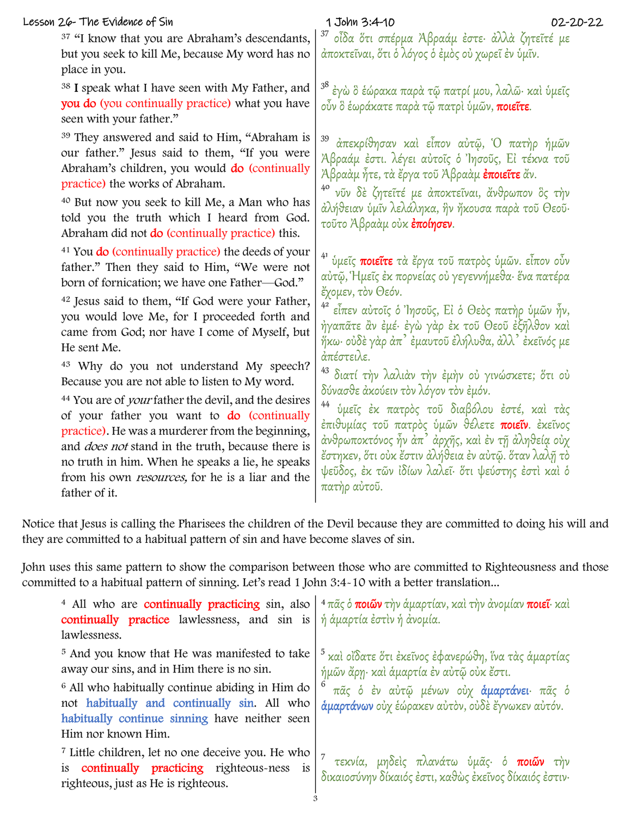## Lesson 26- The Evidence of Sin

## 1 John 3:4-10

Notice that Jesus is calling the Pharisees the children of the Devil because they are committed to doing his will and they are committed to a habitual pattern of sin and have become slaves of sin.

John uses this same pattern to show the comparison between those who are committed to Righteousness and those committed to a habitual pattern of sinning. Let's read 1 John 3:4-10 with a better translation...

| <sup>37</sup> "I know that you are Abraham's descendants,<br>but you seek to kill Me, because My word has no<br>place in you.                                                                                                                                                                                                                                                                                                                                                        | οἶδα ὅτι σπέρμα Ἀβραάμ ἐστε· ἀλλὰ ζητεῖτέ με<br>άποκτεῖναι, ὅτι ὁ λόγος ὁ ἐμὸς οὐ χωρεῖ ἐν ὑμῖν.                                                                                                                                                                                                                                                                                                             |
|--------------------------------------------------------------------------------------------------------------------------------------------------------------------------------------------------------------------------------------------------------------------------------------------------------------------------------------------------------------------------------------------------------------------------------------------------------------------------------------|--------------------------------------------------------------------------------------------------------------------------------------------------------------------------------------------------------------------------------------------------------------------------------------------------------------------------------------------------------------------------------------------------------------|
| <sup>38</sup> I speak what I have seen with My Father, and<br>you do (you continually practice) what you have<br>seen with your father."                                                                                                                                                                                                                                                                                                                                             | <sup>38</sup> ἐγὼ ὃ ἑώρακα παρὰ τῷ πατρί μου, λαλῶ· καὶ ὑμεῖς<br>οὖν ὃ ἑωράκατε παρὰ τῷ πατρὶ ὑμῶν, <b>ποιεῖτε</b> .                                                                                                                                                                                                                                                                                         |
| <sup>39</sup> They answered and said to Him, "Abraham is<br>our father." Jesus said to them, "If you were<br>Abraham's children, you would do (continually<br>practice) the works of Abraham.<br><sup>40</sup> But now you seek to kill Me, a Man who has                                                                                                                                                                                                                            | 39<br>άπεκρίθησαν καί είπον αύτῷ, Ὁ πατήρ ήμῶν<br>Άβραάμ έστι. λέγει αὐτοῖς ὁ Ἰησοῦς, Εἰ τέκνα τοῦ<br>Ἀβραὰμ ἦτε, τὰ ἔργα τοῦ Ἀβραὰμ <b>ἐποιεῖτε</b> ἄν.<br>νῦν δε ζητεῖτέ με ἀποκτεῖναι, ἄνθρωπον ὃς την<br>άλήθειαν ύμῖν λελάληκα, ἣν ἤκουσα παρὰ τοῦ Θεοῦ·                                                                                                                                                |
| told you the truth which I heard from God.<br>Abraham did not <b>do</b> (continually practice) this.                                                                                                                                                                                                                                                                                                                                                                                 | τοῦτο Ἀβραὰμ οὐκ <b>ἐποίησεν</b> .                                                                                                                                                                                                                                                                                                                                                                           |
| <sup>41</sup> You <b>do</b> (continually practice) the deeds of your<br>father." Then they said to Him, "We were not<br>born of fornication; we have one Father-God."<br><sup>42</sup> Jesus said to them, "If God were your Father,<br>you would love Me, for I proceeded forth and                                                                                                                                                                                                 | 41<br>ύμεῖς ποιεῖτε τὰ ἔργα τοῦ πατρὸς ὑμῶν. εἶπον οὖν<br>αὐτῷ, Ἡμεῖς ἐκ πορνείας οὐ γεγεννήμεθα· ἕνα πατέρα<br>έχομεν, τὸν Θεόν.<br>4 <sup>2</sup><br>εἶπεν αὐτοῖς ὁ Ἰησοῦς, Εἰ ὁ Θεὸς πατήρ ὑμῶν ἦν,                                                                                                                                                                                                       |
| came from God; nor have I come of Myself, but<br>He sent Me.                                                                                                                                                                                                                                                                                                                                                                                                                         | ήγαπᾶτε ἂν ἐμέ· ἐγὼ γὰρ ἐκ τοῦ Θεοῦ ἐξῆλθον καὶ<br>ήκω· οὐδὲ γὰρ ἀπˀ ἐμαυτοῦ ἐλήλυθα, ἀλλˀ ἐκεῖνός με                                                                                                                                                                                                                                                                                                        |
| <sup>43</sup> Why do you not understand My speech?<br>Because you are not able to listen to My word.<br><sup>44</sup> You are of <i>your</i> father the devil, and the desires<br>of your father you want to <b>do</b> (continually<br>practice). He was a murderer from the beginning,<br>and <i>does not</i> stand in the truth, because there is<br>no truth in him. When he speaks a lie, he speaks<br>from his own <i>resources</i> , for he is a liar and the<br>father of it. | άπέστειλε.<br><sup>43</sup> διατί την λαλιάν την έμην ού γινώσκετε; ότι ού<br>δύνασθε ἀκούειν τὸν λόγον τὸν ἐμόν.<br>44<br>ύμεῖς ἐκ πατρὸς τοῦ διαβόλου ἐστέ, καὶ τὰς<br>έπιθυμίας τοῦ πατρὸς ὑμῶν θέλετε ποιεῖν. ἐκεῖνος<br>άνθρωποκτόνος ἦν ἀπ' ἀρχῆς, καὶ ἐν τῇ ἀληθεία οὐχ<br>ἔστηκεν, ὅτι οὐκ ἔστιν ἀλήθεια ἐν αὐτῷ. ὅταν λαλῆ τὸ<br>ψεῦδος, έκ τῶν ἰδίων λαλεῖ· ὅτι ψεύστης έστι και ό<br>πατὴρ αὐτοῦ. |
| e that Jesus is calling the Pharisees the children of the Devil because they are committed to doing his wi<br>are committed to a habitual pattern of sin and have become slaves of sin.                                                                                                                                                                                                                                                                                              |                                                                                                                                                                                                                                                                                                                                                                                                              |
| uses this same pattern to show the comparison between those who are committed to Righteousness and<br>itted to a habitual pattern of sinning. Let's read 1 John 3:4-10 with a better translation                                                                                                                                                                                                                                                                                     |                                                                                                                                                                                                                                                                                                                                                                                                              |
| <sup>4</sup> All who are <b>continually practicing</b> sin, also<br>continually practice lawlessness, and sin is<br>lawlessness.                                                                                                                                                                                                                                                                                                                                                     | <sup>4</sup> πᾶς ὁ <b>ποιῶν</b> τὴν ἁμαρτίαν, καὶ τὴν ἀνομίαν <b>ποιεῖ</b> · καὶ<br>ή άμαρτία έστιν ή ανομία.                                                                                                                                                                                                                                                                                                |
| <sup>5</sup> And you know that He was manifested to take<br>away our sins, and in Him there is no sin.<br><sup>6</sup> All who habitually continue abiding in Him do<br>not habitually and continually sin. All who<br>habitually continue sinning have neither seen<br>Him nor known Him.                                                                                                                                                                                           | και οίδατε ότι έκεῖνος έφανερώθη, ἵνα τὰς ἁμαρτίας<br>C<br>ήμῶν ἄρη· καὶ άμαρτία ἐν αὐτῷ οὐκ ἔστι.<br>πάς ο έν αύτώ μένων ούχ άμαρτάνει· πάς ο<br>άμαρτάνων ούχ έώρακεν αύτον, ούδε έγνωκεν αύτόν.                                                                                                                                                                                                           |
| <sup>7</sup> Little children, let no one deceive you. He who<br>continually practicing righteous-ness<br>is<br>is<br>righteous, just as He is righteous.                                                                                                                                                                                                                                                                                                                             | τεκνία, μηδείς πλανάτω ύμας· ό ποιών την<br>δικαιοσύνην δίκαιός έστι, καθώς έκεῖνος δίκαιός έστιν·                                                                                                                                                                                                                                                                                                           |
|                                                                                                                                                                                                                                                                                                                                                                                                                                                                                      |                                                                                                                                                                                                                                                                                                                                                                                                              |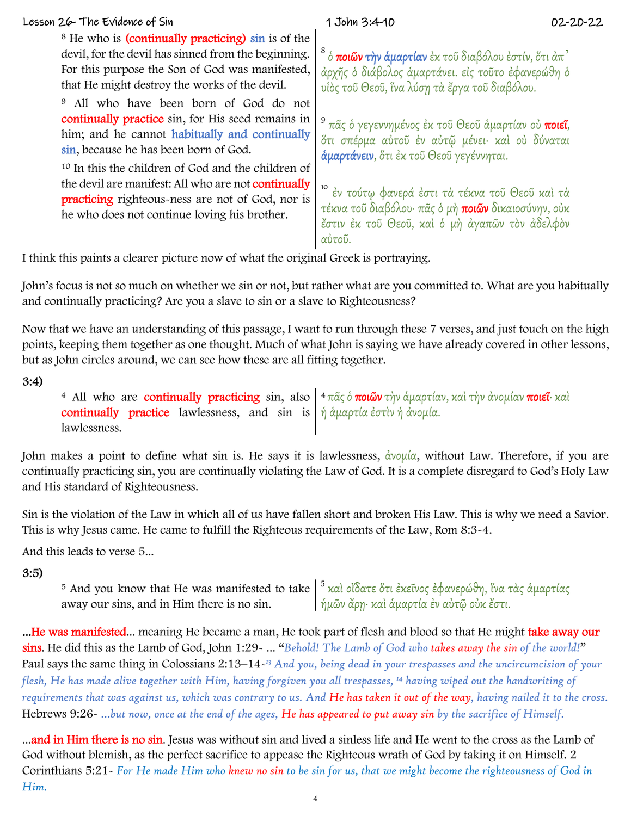| Lesson 26- The Evidence of Sin                                                                                                                                                                                                                                                                                                                                                                                                                                                                                                                                                                                                               | 1 John 3:4-10                                                                                                            | 02-20-22 |  |
|----------------------------------------------------------------------------------------------------------------------------------------------------------------------------------------------------------------------------------------------------------------------------------------------------------------------------------------------------------------------------------------------------------------------------------------------------------------------------------------------------------------------------------------------------------------------------------------------------------------------------------------------|--------------------------------------------------------------------------------------------------------------------------|----------|--|
| <sup>8</sup> He who is (continually practicing) sin is of the<br>devil, for the devil has sinned from the beginning.                                                                                                                                                                                                                                                                                                                                                                                                                                                                                                                         |                                                                                                                          |          |  |
| For this purpose the Son of God was manifested,                                                                                                                                                                                                                                                                                                                                                                                                                                                                                                                                                                                              | $^8$ ὁ <b>ποιῶν τὴν ἁμαρτίαν</b> ἐκ τοῦ διαβόλου ἐστίν, ὅτι ἀπ $^2$<br>άρχῆς ὁ διάβολος ἁμαρτάνει. εἰς τοῦτο ἐφανερώθη ὁ |          |  |
| that He might destroy the works of the devil.                                                                                                                                                                                                                                                                                                                                                                                                                                                                                                                                                                                                | υίὸς τοῦ Θεοῦ, ἵνα λύσῃ τὰ ἔργα τοῦ διαβόλου.                                                                            |          |  |
| All who have been born of God do not<br>9<br>continually practice sin, for His seed remains in                                                                                                                                                                                                                                                                                                                                                                                                                                                                                                                                               |                                                                                                                          |          |  |
| him; and he cannot habitually and continually                                                                                                                                                                                                                                                                                                                                                                                                                                                                                                                                                                                                | <sup>9</sup> πᾶς ὁ γεγεννημένος ἐκ τοῦ Θεοῦ ἁμαρτίαν οὐ <b>ποιεῖ</b> ,<br>ότι σπέρμα αὐτοῦ ἐν αὐτῷ μένει· καὶ οὐ δύναται |          |  |
| sin, because he has been born of God.                                                                                                                                                                                                                                                                                                                                                                                                                                                                                                                                                                                                        | άμαρτάνειν, ότι έκ τοῦ Θεοῦ γεγέννηται.                                                                                  |          |  |
| <sup>10</sup> In this the children of God and the children of<br>the devil are manifest: All who are not continually                                                                                                                                                                                                                                                                                                                                                                                                                                                                                                                         |                                                                                                                          |          |  |
| practicing righteous-ness are not of God, nor is                                                                                                                                                                                                                                                                                                                                                                                                                                                                                                                                                                                             | 10<br>έν τούτω φανερά έστι τα τέκνα τοῦ Θεοῦ καὶ τα                                                                      |          |  |
| he who does not continue loving his brother.                                                                                                                                                                                                                                                                                                                                                                                                                                                                                                                                                                                                 | τέκνα τοῦ διαβόλου· πᾶς ὁ μὴ <b>ποιῶν</b> δικαιοσύνην, οὐκ<br>έστιν έκ τοῦ Θεοῦ, καὶ ὁ μὴ ἀγαπῶν τὸν ἀδελφὸν             |          |  |
|                                                                                                                                                                                                                                                                                                                                                                                                                                                                                                                                                                                                                                              | αύτοῦ.                                                                                                                   |          |  |
| I think this paints a clearer picture now of what the original Greek is portraying.                                                                                                                                                                                                                                                                                                                                                                                                                                                                                                                                                          |                                                                                                                          |          |  |
| John's focus is not so much on whether we sin or not, but rather what are you committed to. What are you habitually<br>and continually practicing? Are you a slave to sin or a slave to Righteousness?                                                                                                                                                                                                                                                                                                                                                                                                                                       |                                                                                                                          |          |  |
| Now that we have an understanding of this passage, I want to run through these 7 verses, and just touch on the high                                                                                                                                                                                                                                                                                                                                                                                                                                                                                                                          |                                                                                                                          |          |  |
| points, keeping them together as one thought. Much of what John is saying we have already covered in other lessons,<br>but as John circles around, we can see how these are all fitting together.                                                                                                                                                                                                                                                                                                                                                                                                                                            |                                                                                                                          |          |  |
| 3:4)                                                                                                                                                                                                                                                                                                                                                                                                                                                                                                                                                                                                                                         |                                                                                                                          |          |  |
| <sup>4</sup> All who are <b>continually practicing</b> sin, also<br>continually practice lawlessness, and sin is<br>lawlessness.                                                                                                                                                                                                                                                                                                                                                                                                                                                                                                             | <sup>4</sup> πᾶς ὁ <b>ποιῶν</b> τὴν ἁμαρτίαν, καὶ τὴν ἀνομίαν <b>ποιεῖ</b> · καὶ<br>ή άμαρτία ἐστὶν ἡ ἀνομία.            |          |  |
| John makes a point to define what sin is. He says it is lawlessness, $\frac{\partial v \circ \mu}{\partial \alpha}$ , without Law. Therefore, if you are<br>continually practicing sin, you are continually violating the Law of God. It is a complete disregard to God's Holy Law<br>and His standard of Righteousness.                                                                                                                                                                                                                                                                                                                     |                                                                                                                          |          |  |
| Sin is the violation of the Law in which all of us have fallen short and broken His Law. This is why we need a Savior.<br>This is why Jesus came. He came to fulfill the Righteous requirements of the Law, Rom 8:3-4.                                                                                                                                                                                                                                                                                                                                                                                                                       |                                                                                                                          |          |  |
| And this leads to verse 5                                                                                                                                                                                                                                                                                                                                                                                                                                                                                                                                                                                                                    |                                                                                                                          |          |  |
| 3:5)                                                                                                                                                                                                                                                                                                                                                                                                                                                                                                                                                                                                                                         |                                                                                                                          |          |  |
| <sup>5</sup> And you know that He was manifested to take $\frac{1}{2}$ καὶ οἴδατε ὅτι ἐκεῖνος ἐφανερώθη, ἵνα τὰς ἁμαρτίας<br>away our sins, and in Him there is no sin.                                                                                                                                                                                                                                                                                                                                                                                                                                                                      | ήμῶν ἄρη· καὶ ἁμαρτία ἐν αὐτῷ οὐκ ἔστι.                                                                                  |          |  |
| He was manifested meaning He became a man, He took part of flesh and blood so that He might take away our<br>sins. He did this as the Lamb of God, John 1:29 -  "Behold! The Lamb of God who takes away the sin of the world!"<br>Paul says the same thing in Colossians 2:13-14- <sup>13</sup> And you, being dead in your trespasses and the uncircumcision of your<br>flesh, He has made alive together with Him, having forgiven you all trespasses, <sup>14</sup> having wiped out the handwriting of<br>requirements that was against us, which was contrary to us. And He has taken it out of the way, having nailed it to the cross. |                                                                                                                          |          |  |
| Hebrews 9:26- but now, once at the end of the ages, He has appeared to put away sin by the sacrifice of Himself.                                                                                                                                                                                                                                                                                                                                                                                                                                                                                                                             |                                                                                                                          |          |  |
| and in Him there is no sin. Jesus was without sin and lived a sinless life and He went to the cross as the Lamb of<br>God without blemish, as the perfect sacrifice to appease the Righteous wrath of God by taking it on Himself. 2<br>Corinthians 5:21 - For He made Him who knew no sin to be sin for us, that we might become the righteousness of God in<br>Him.                                                                                                                                                                                                                                                                        |                                                                                                                          |          |  |
|                                                                                                                                                                                                                                                                                                                                                                                                                                                                                                                                                                                                                                              |                                                                                                                          |          |  |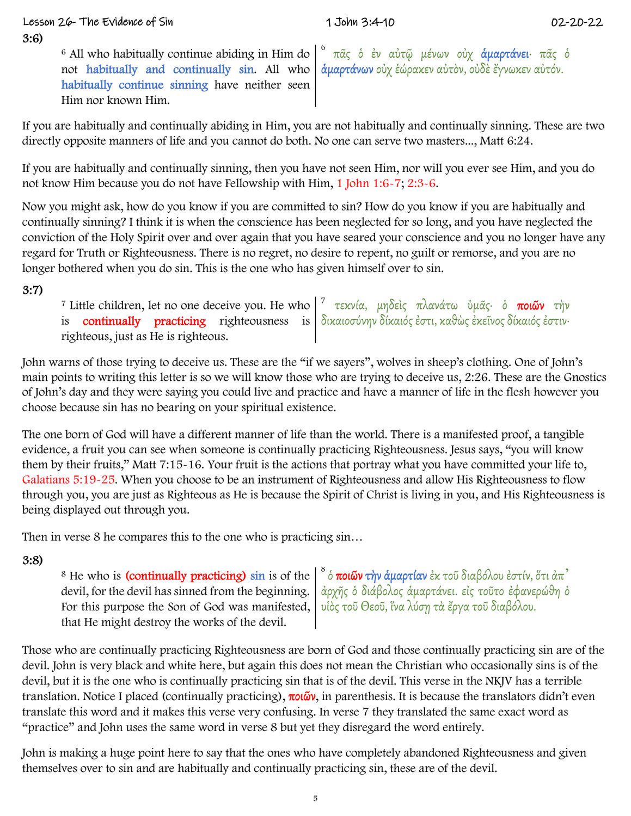# Lesson 26- The Evidence of Sin 1 John 3:4-10 02-20-22

F-All who balifinally continue disting in This do. <sup>1</sup> wit, *i.e.* is a adopt plane aby the probability of the state of the state of the state of the state of the state of the state of the state of the state of the state